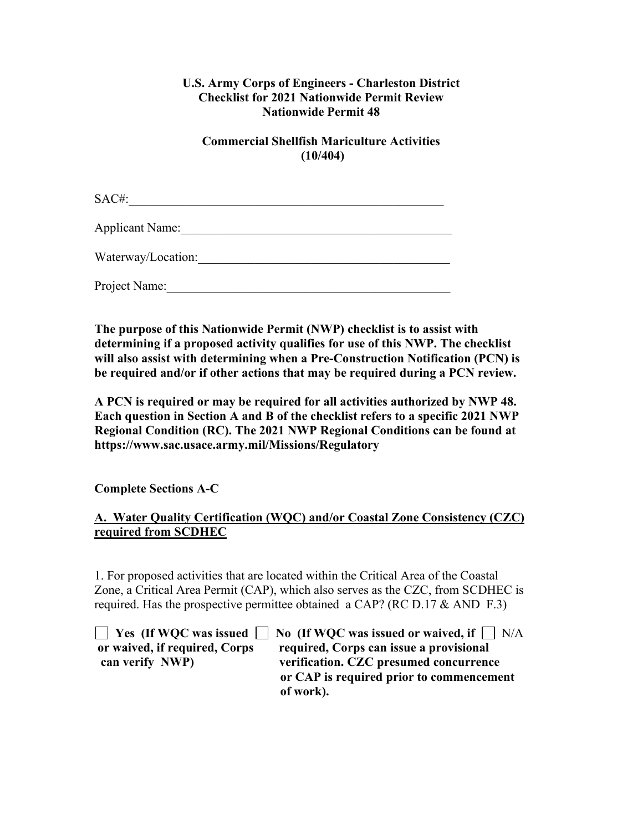### **U.S. Army Corps of Engineers - Charleston District Checklist for 2021 Nationwide Permit Review Nationwide Permit 48**

## **Commercial Shellfish Mariculture Activities (10/404)**

SAC#: Applicant Name:

Waterway/Location:\_\_\_\_\_\_\_\_\_\_\_\_\_\_\_\_\_\_\_\_\_\_\_\_\_\_\_\_\_\_\_\_\_\_\_\_\_\_\_\_

Project Name:

**The purpose of this Nationwide Permit (NWP) checklist is to assist with determining if a proposed activity qualifies for use of this NWP. The checklist will also assist with determining when a Pre-Construction Notification (PCN) is be required and/or if other actions that may be required during a PCN review.**

**A PCN is required or may be required for all activities authorized by NWP 48. Each question in Section A and B of the checklist refers to a specific 2021 NWP Regional Condition (RC). The 2021 NWP Regional Conditions can be found at https://www.sac.usace.army.mil/Missions/Regulatory**

**Complete Sections A-C**

# **A. Water Quality Certification (WQC) and/or Coastal Zone Consistency (CZC) required from SCDHEC**

1. For proposed activities that are located within the Critical Area of the Coastal Zone, a Critical Area Permit (CAP), which also serves as the CZC, from SCDHEC is required. Has the prospective permittee obtained a CAP? (RC D.17 & AND F.3)

**T** Yes (If WOC was issued **No** (If WOC was issued or waived, if **N/A or waived, if required, Corps required, Corps can issue a provisional can verify NWP) verification. CZC presumed concurrence or CAP is required prior to commencement of work).**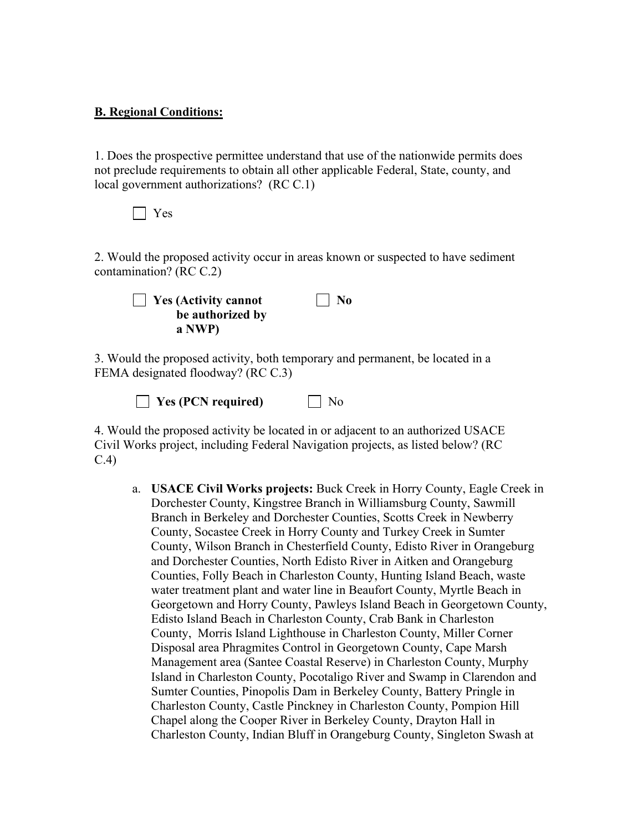### **B. Regional Conditions:**

1. Does the prospective permittee understand that use of the nationwide permits does not preclude requirements to obtain all other applicable Federal, State, county, and local government authorizations? (RC C.1)



2. Would the proposed activity occur in areas known or suspected to have sediment contamination? (RC C.2)



3. Would the proposed activity, both temporary and permanent, be located in a FEMA designated floodway? (RC C.3)

**Yes (PCN required)** No

4. Would the proposed activity be located in or adjacent to an authorized USACE Civil Works project, including Federal Navigation projects, as listed below? (RC C.4)

a. **USACE Civil Works projects:** Buck Creek in Horry County, Eagle Creek in Dorchester County, Kingstree Branch in Williamsburg County, Sawmill Branch in Berkeley and Dorchester Counties, Scotts Creek in Newberry County, Socastee Creek in Horry County and Turkey Creek in Sumter County, Wilson Branch in Chesterfield County, Edisto River in Orangeburg and Dorchester Counties, North Edisto River in Aitken and Orangeburg Counties, Folly Beach in Charleston County, Hunting Island Beach, waste water treatment plant and water line in Beaufort County, Myrtle Beach in Georgetown and Horry County, Pawleys Island Beach in Georgetown County, Edisto Island Beach in Charleston County, Crab Bank in Charleston County, Morris Island Lighthouse in Charleston County, Miller Corner Disposal area Phragmites Control in Georgetown County, Cape Marsh Management area (Santee Coastal Reserve) in Charleston County, Murphy Island in Charleston County, Pocotaligo River and Swamp in Clarendon and Sumter Counties, Pinopolis Dam in Berkeley County, Battery Pringle in Charleston County, Castle Pinckney in Charleston County, Pompion Hill Chapel along the Cooper River in Berkeley County, Drayton Hall in Charleston County, Indian Bluff in Orangeburg County, Singleton Swash at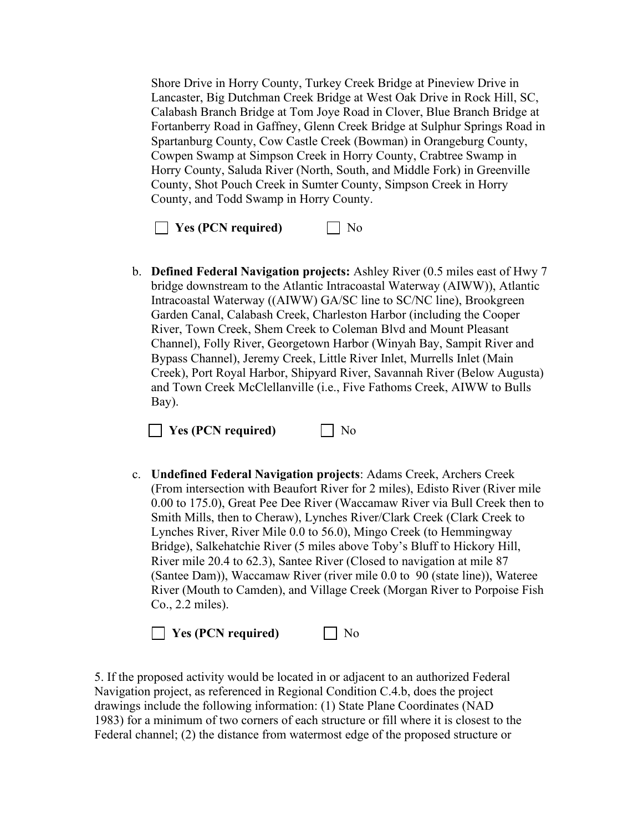Shore Drive in Horry County, Turkey Creek Bridge at Pineview Drive in Lancaster, Big Dutchman Creek Bridge at West Oak Drive in Rock Hill, SC, Calabash Branch Bridge at Tom Joye Road in Clover, Blue Branch Bridge at Fortanberry Road in Gaffney, Glenn Creek Bridge at Sulphur Springs Road in Spartanburg County, Cow Castle Creek (Bowman) in Orangeburg County, Cowpen Swamp at Simpson Creek in Horry County, Crabtree Swamp in Horry County, Saluda River (North, South, and Middle Fork) in Greenville County, Shot Pouch Creek in Sumter County, Simpson Creek in Horry County, and Todd Swamp in Horry County.

**Yes (PCN required)** No

b. **Defined Federal Navigation projects:** Ashley River (0.5 miles east of Hwy 7 bridge downstream to the Atlantic Intracoastal Waterway (AIWW)), Atlantic Intracoastal Waterway ((AIWW) GA/SC line to SC/NC line), Brookgreen Garden Canal, Calabash Creek, Charleston Harbor (including the Cooper River, Town Creek, Shem Creek to Coleman Blvd and Mount Pleasant Channel), Folly River, Georgetown Harbor (Winyah Bay, Sampit River and Bypass Channel), Jeremy Creek, Little River Inlet, Murrells Inlet (Main Creek), Port Royal Harbor, Shipyard River, Savannah River (Below Augusta) and Town Creek McClellanville (i.e., Five Fathoms Creek, AIWW to Bulls Bay).

**T** Yes (PCN required) No

c. **Undefined Federal Navigation projects**: Adams Creek, Archers Creek (From intersection with Beaufort River for 2 miles), Edisto River (River mile 0.00 to 175.0), Great Pee Dee River (Waccamaw River via Bull Creek then to Smith Mills, then to Cheraw), Lynches River/Clark Creek (Clark Creek to Lynches River, River Mile 0.0 to 56.0), Mingo Creek (to Hemmingway Bridge), Salkehatchie River (5 miles above Toby's Bluff to Hickory Hill, River mile 20.4 to 62.3), Santee River (Closed to navigation at mile 87 (Santee Dam)), Waccamaw River (river mile 0.0 to 90 (state line)), Wateree River (Mouth to Camden), and Village Creek (Morgan River to Porpoise Fish Co., 2.2 miles).

**Yes (PCN required)** No

5. If the proposed activity would be located in or adjacent to an authorized Federal Navigation project, as referenced in Regional Condition C.4.b, does the project drawings include the following information: (1) State Plane Coordinates (NAD 1983) for a minimum of two corners of each structure or fill where it is closest to the Federal channel; (2) the distance from watermost edge of the proposed structure or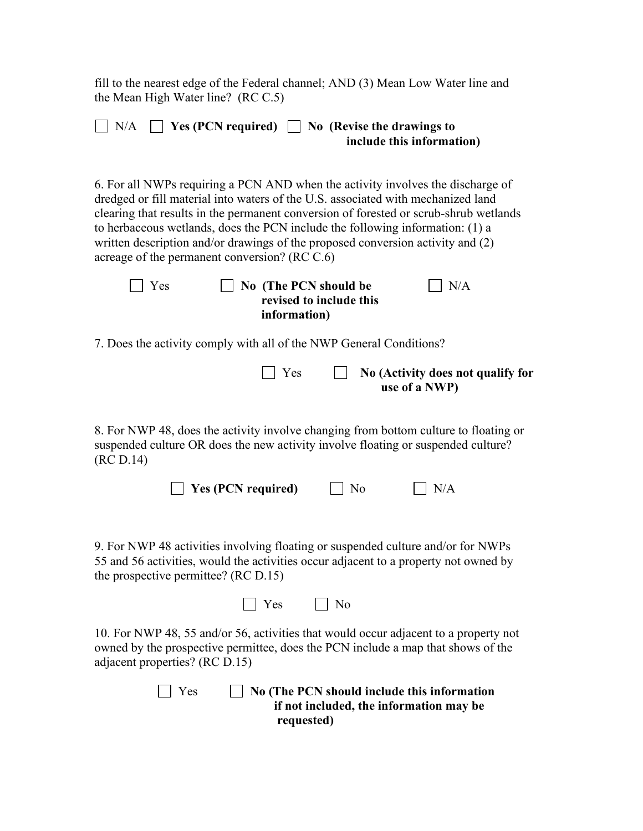fill to the nearest edge of the Federal channel; AND (3) Mean Low Water line and the Mean High Water line? (RC C.5)

|  |  | $\Box$ N/A $\Box$ Yes (PCN required) $\Box$ No (Revise the drawings to |
|--|--|------------------------------------------------------------------------|
|  |  | include this information)                                              |
|  |  |                                                                        |

6. For all NWPs requiring a PCN AND when the activity involves the discharge of dredged or fill material into waters of the U.S. associated with mechanized land clearing that results in the permanent conversion of forested or scrub-shrub wetlands to herbaceous wetlands, does the PCN include the following information: (1) a written description and/or drawings of the proposed conversion activity and (2) acreage of the permanent conversion? (RC C.6)

| $\vert$   Yes | $\vert$ No (The PCN should be | $\mid$ $\mid$ N/A |
|---------------|-------------------------------|-------------------|
|               | revised to include this       |                   |
|               | information)                  |                   |

7. Does the activity comply with all of the NWP General Conditions?

| $\vert \vert$ Yes | $\Box$ No (Activity does not qualify for |
|-------------------|------------------------------------------|
|                   | use of a NWP)                            |

8. For NWP 48, does the activity involve changing from bottom culture to floating or suspended culture OR does the new activity involve floating or suspended culture? (RC D.14)

| $\Box$ Yes (PCN required) | $\Box$ No | $\Box$ N/A |
|---------------------------|-----------|------------|
|---------------------------|-----------|------------|

9. For NWP 48 activities involving floating or suspended culture and/or for NWPs 55 and 56 activities, would the activities occur adjacent to a property not owned by the prospective permittee? (RC D.15)

 $\Box$  Yes  $\Box$  No

10. For NWP 48, 55 and/or 56, activities that would occur adjacent to a property not owned by the prospective permittee, does the PCN include a map that shows of the adjacent properties? (RC D.15)

> Yes **No (The PCN should include this information if not included, the information may be requested)**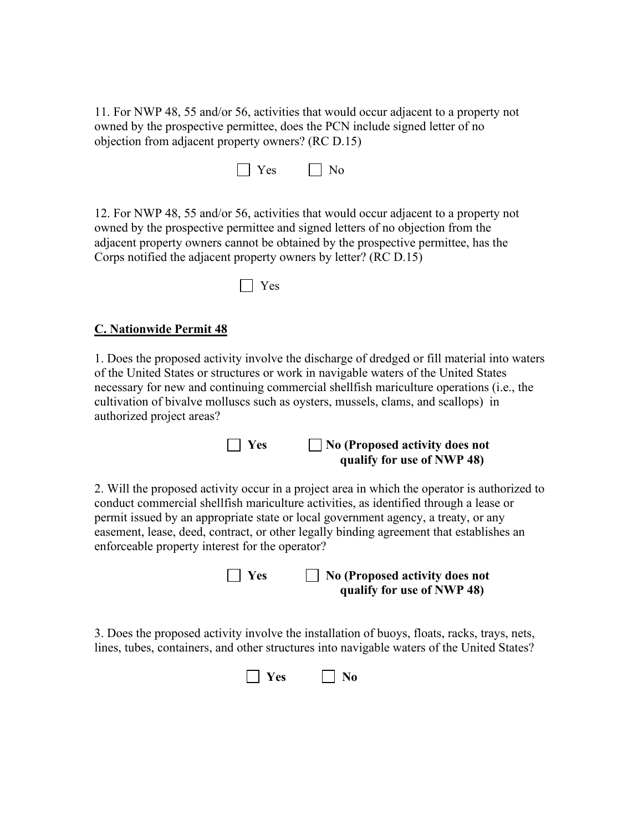11. For NWP 48, 55 and/or 56, activities that would occur adjacent to a property not owned by the prospective permittee, does the PCN include signed letter of no objection from adjacent property owners? (RC D.15)

 $\Box$  Yes  $\Box$  No

12. For NWP 48, 55 and/or 56, activities that would occur adjacent to a property not owned by the prospective permittee and signed letters of no objection from the adjacent property owners cannot be obtained by the prospective permittee, has the Corps notified the adjacent property owners by letter? (RC D.15)

Yes

### **C. Nationwide Permit 48**

1. Does the proposed activity involve the discharge of dredged or fill material into waters of the United States or structures or work in navigable waters of the United States necessary for new and continuing commercial shellfish mariculture operations (i.e., the cultivation of bivalve molluscs such as oysters, mussels, clams, and scallops) in authorized project areas?

#### **Yes No (Proposed activity does not qualify for use of NWP 48)**

2. Will the proposed activity occur in a project area in which the operator is authorized to conduct commercial shellfish mariculture activities, as identified through a lease or permit issued by an appropriate state or local government agency, a treaty, or any easement, lease, deed, contract, or other legally binding agreement that establishes an enforceable property interest for the operator?

> **Yes No (Proposed activity does not qualify for use of NWP 48)**

3. Does the proposed activity involve the installation of buoys, floats, racks, trays, nets, lines, tubes, containers, and other structures into navigable waters of the United States?

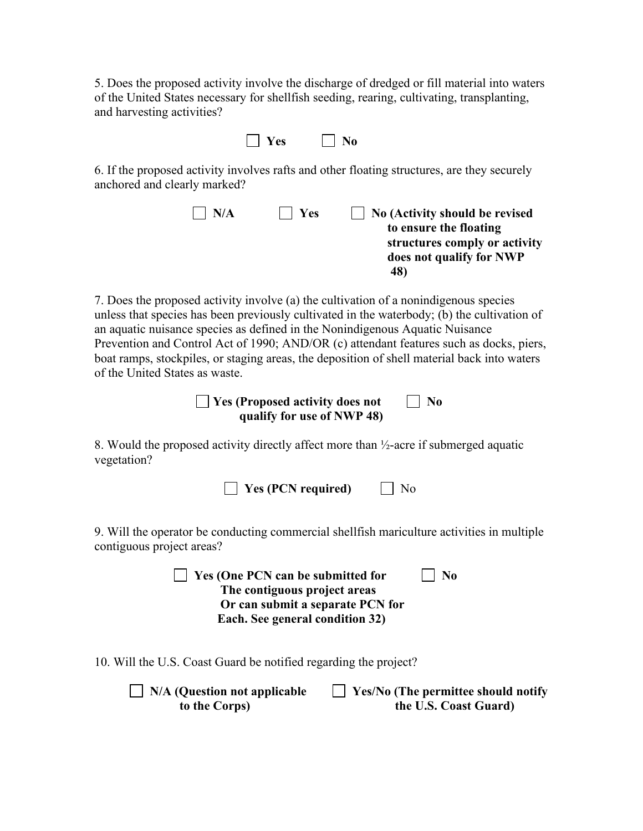5. Does the proposed activity involve the discharge of dredged or fill material into waters of the United States necessary for shellfish seeding, rearing, cultivating, transplanting, and harvesting activities?

|  | es |  | NΛ |
|--|----|--|----|
|--|----|--|----|

6. If the proposed activity involves rafts and other floating structures, are they securely anchored and clearly marked?

| $\vert$   Yes<br>N/A | No (Activity should be revised |
|----------------------|--------------------------------|
|                      | to ensure the floating         |
|                      | structures comply or activity  |
|                      | does not qualify for NWP       |
|                      | 48)                            |

7. Does the proposed activity involve (a) the cultivation of a nonindigenous species unless that species has been previously cultivated in the waterbody; (b) the cultivation of an aquatic nuisance species as defined in the Nonindigenous Aquatic Nuisance Prevention and Control Act of 1990; AND/OR (c) attendant features such as docks, piers, boat ramps, stockpiles, or staging areas, the deposition of shell material back into waters of the United States as waste.

> **No** Yes (Proposed activity does not No  **qualify for use of NWP 48)**

8. Would the proposed activity directly affect more than ½-acre if submerged aquatic vegetation?

| $\Box$ Yes (PCN required) | $\Box$ No |
|---------------------------|-----------|
|---------------------------|-----------|

9. Will the operator be conducting commercial shellfish mariculture activities in multiple contiguous project areas?

> **The Ves (One PCN can be submitted for The No The contiguous project areas Or can submit a separate PCN for Each. See general condition 32)**

10. Will the U.S. Coast Guard be notified regarding the project?

| $\Box$ N/A (Question not applicable | $\Box$ Yes/No (The permittee should notify |
|-------------------------------------|--------------------------------------------|
| to the Corps)                       | the U.S. Coast Guard)                      |